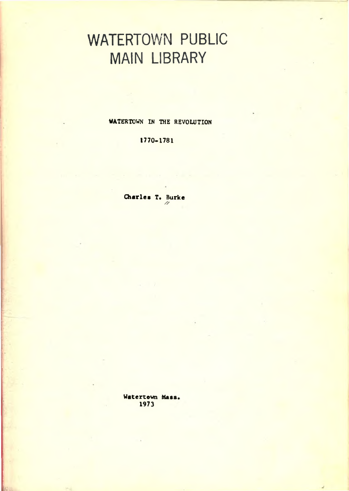## WATERTOWN PUBLIC MAIN LIBRARY

WATERTOWN IN THE REVOLUTION

1770-1781

Charles T. Burke *//*

Watertown Mass 1973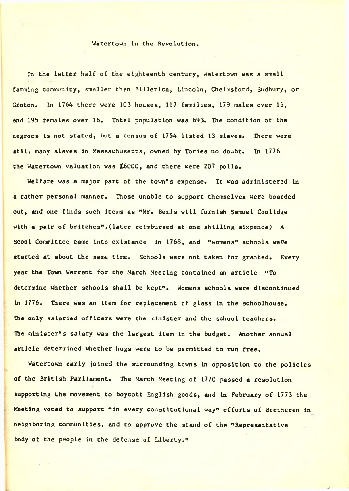## Watertown in the Revolution.

In the latter half of the eighteenth century, Watertown was a small farming community, smaller than Billerica, Lincoln, Chelmsford, Sudbury, or Groton. In 1764 there were 103 houses, 117 families, 179 males over 16, and 195 females over 16. Total population was 693. The condition of the negroes is not stated, but a census of 1754 listed 13 slaves. There were still many slaves in Massachusetts, owned by Tories no doubt. In 1776 the Watertown valuation was £6000, and there were 207 polls.

Welfare was a major part of the town's expense. It was administered in a rather personal manner. Those unable to support themselves were boarded out, and one finds such items as "Mr. Bemis will furnish Samuel Coolidge with a pair of britches" .(later reimbursed at one shilling sixpence) A Scool Committee came into existance in 1768, and "womens" schools were started at about the same time. Schools were not taken for granted. Every year the Town Warrant for the March Meeting contained an article "To determine whether schools shall be kept". Womens schools were discontinued in 1776. There was an item for replacement of glass in the schoolhouse. The only salaried officers were the minister and the school teachers. The minister's salary was the largest item in the budget. Another annual article determined whether hogs were to be permitted to run free.

Watertown early joined the surrounding towns in opposition to the policies of the British Parliament. The March Meeting of 1770 passed a resolution supporting the movement to boycott English goods, and in February of 1773 the Meeting voted to support "in every constitutional way" efforts of Bretheren in neighboring communities, and to approve the stand of the "Representative body of the people in the defense of Liberty."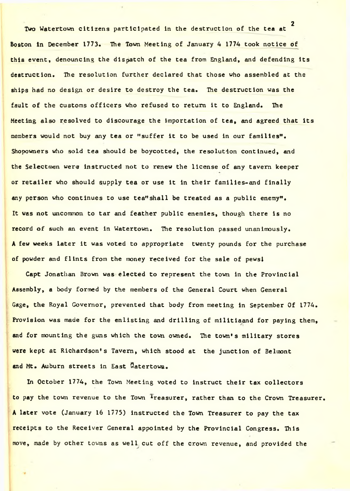2 Two Watertown citizens participated in the destruction of the tea at Boston in December 1773. The Town Meeting of January 4 1774 took notice of this event, denouncing the dispatch of the tea from England, and defending its destruction. The resolution further declared that those who assembled at the ships had no design or desire to destroy the tea. The destruction was the fault of the customs officers who refused to return it to England. The Meeting also resolved to discourage the importation of tea, and agreed that its members would not buy any tea or "suffer it to be used in our families". Shopowners who sold tea should be boycotted, the resolution continued, and the Selectmen were instructed not to renew the license of any tavern keeper or retailer who should supply tea or use it in their families-and finally any person who continues to use tea"shall be treated as a public enemy". It was not uncommon to tar and feather public enemies, though there is no record of such an event in Watertown. The resolution passed unanimously. A few weeks later it was voted to appropriate twenty pounds for the purchase of powder and flints from the money received for the sale of pewsi

Capt Jonathan Brown was elected to represent the town in the Provincial Assembly, a body formed by the members of the General Court when General Gage, the Royal Governor, prevented that body from meeting in September Of 1774. Provision was made for the enlisting and drilling of militiaand for paying them, and for mounting the guns which the town owned. The town's military stores were kept at Richardson's Tavern, which stood at the junction of Belmont and Mt. Auburn streets in East Watertown.

In October 1774, the Town Meeting voted to instruct their tax collectors to pay the town revenue to the Town Treasurer, rather than to the Crown Treasurer. A later vote (January 16 1775) instructed the Town Treasurer to pay the tax receipts to the Receiver General appointed by the Provincial Congress. This move, made by other towns as well cut off the crown revenue, and provided the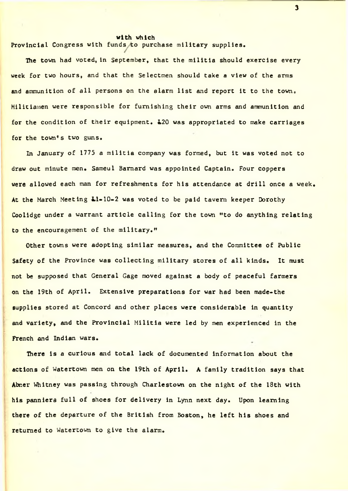## with vhich

Provincial Congress with funds to purchase military supplies.

The town had voted, in September, that the militia should exercise every week for two hours, and that the Selectmen should take a view of the arms and ammunition of all persons on the alarm list and report it to the town. Militiamen were responsible for furnishing their own arms and ammunition and for the condition of their equipment. L20 was appropriated to make carriages for the town's two guns.

In January of 1775 a militia company was formed, but it was voted not to draw out minute men. Sameul Barnard was appointed Captain. Four coppers were allowed each man for refreshments for his attendance at drill once a week. At the March Meeting L1-10-2 was voted to be paid tavern keeper Dorothy Coolidge under a warrant article calling for the town "to do anything relating to the encouragement of the military."

Other towns were adopting similar measures, and the Committee of Public Safety of the Province was collecting military stores of all kinds. It must not be supposed that General Gage moved against a body of peaceful farmers on the 19th of April. Extensive preparations for war had been made-the supplies stored at Concord and other places were considerable in quantity and variety, and the Provincial Militia were led by men experienced in the French and Indian wars.

There is a curious and total lack of documented information about the actions of Watertown men on the 19th of April. A family tradition says that Abr.er Whitney was passing through Charlestown on the night of the 18th with his panniers full of shoes for delivery in Lynn next day. Upon learning there of the departure of the British from Boston, he left his shoes and returned to Watertown to give the alarm.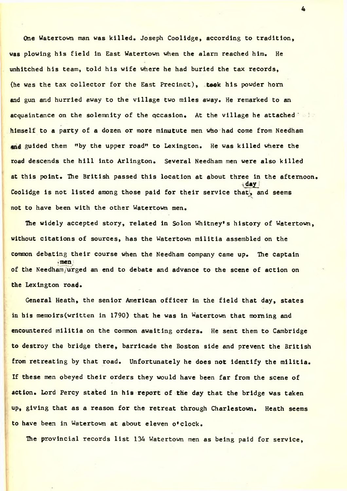One Watertown man was killed. Joseph Coolidge, according to tradition, was plowing his field in East Watertown when the alarm reached him. He unhitched his team, told his wife where he had buried the tax records, (he was the tax collector for the East Precinct), teak his powder horn and gun and hurried away to the village two miles away. He remarked to an acquaintance on the solemnity of the qccasion. At the village he attached ' himself to a party of a dozen or more minutute men who had come from Needham and guided them "by the upper road" to Lexington. He was killed where the road descends the hill into Arlington. Several Needham men were also killed at this point. The British passed this location at about three in the afternoon. 'day Coolidge is not listed among those paid for their service that, and seems not to have been with the other Watertown men.

The widely accepted story, related in Solon Whitney's history of Watertown, without citations of sources, has the Watertown militia assembled on the common debating their course when the Needham company came up. The captain <men of the Needham/urged an end to debate and advance to the scene of action on the Lexington road.

General Heath, the senior American officer in the field that day, states in his memoirs(written in 1790) that he was in Watertown that morning and encountered militia on the common awaiting orders. He sent them to Cambridge to destroy the bridge there, barricade the Boston side and prevent the British from retreating by that road. Unfortunately he does not identify the militia. If these men obeyed their orders they would have been far from the scene of action. Lord Percy stated in his report of the day that the bridge was taken up, giving that as a reason for the retreat through Charlestown. Heath seems to have been in Watertown at about eleven o'clock.

The provincial records list 134 Watertown men as being paid for service,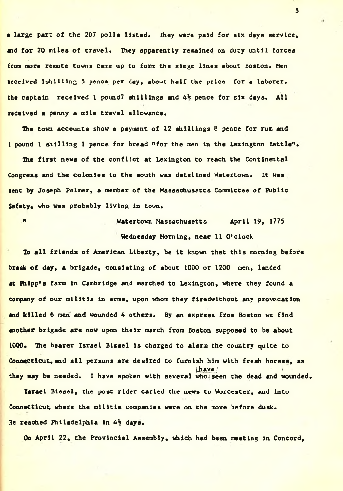a large part of the 207 polls listed. They were paid for six days service, and for 20 miles of travel. They apparently remained on duty until forces from more remote towns came up to form the siege lines about Boston. Men received lshilling 5 pence per day, about half the price for a laborer. the captain received 1 pound? shillings and  $4\frac{1}{2}$  pence for six days. All received a penny a mile travel allowance.

The town accounts show a payment of 12 shillings 8 pence for rum and 1 pound 1 shilling 1 pence for bread "for the men in the Lexington Battle".

The first news of the conflict at Lexington to reach the Continental Congress and the colonies to the south was datelined Watertown. It was sent by Joseph Palmer, a member of the Massachusetts Committee of Public Safety. who was probably living in town.

" Watertown Massachusetts April 19, 1775 Wednesday Morning, near 11 O'clock

To all friends of American Liberty, be it known that this morning before break of day, a brigade, consisting of about 1000 or 1200 men, landed at Phipp's farm in Cambridge and marched to Lexington, where they found a company of our militia in arms, upon whom they firedwlthout any provocation and killed 6 men and wounded 4 others. By an express from Boston we find another brigade are now upon their march from Boston supposed to be about 1000. The bearer Israel Bissel is charged to alarm the country quite to Connecticut, and all persons are desired to furnish him with fresh horses, as ihave / they may be needed. I have spoken with several who seen the dead and wounded.

Israel Bissel, the post rider caried the news to Worcester, and into Connecticut, where the militia companies were on the move before dusk. He reached Philadelphia in  $4\frac{1}{2}$  days.

On April 22, the Provincial Assembly, which had been meeting in Concord,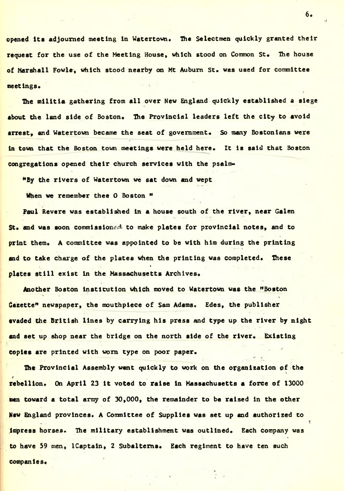opened its adjourned meeting in Watertown. The Selectmen quickly granted their request for the use of the Meeting House, which stood on Common St. The house of Marshall Fowls, which stood nearby on Mt Auburn St. was used for committee meetings.

The militia gathering from all over New England quickly established a siege about the land side of Boston. The Provincial leaders left the city to avoid arrest, and Watertown became the seat of government. So many Bostonians were in town that the Boston town meetings were held here. It is said that Boston congregations opened their church services with the psalm-

"By the rivers of Watertown we sat down and wept

When we remember thee O Boston "

Paul Revere was established in a house south of the river, near Galen  $St.$  and was soon commission $ed$  to make plates for provincial notes, and to print them. A committee was appointed to be with him during the printing and to take charge of the plates when the printing was completed. These \* -\* > V • plates still exist in the Massachusetts Archives.

Another Boston Institution which moved to Watertown was the "Boston Gazette" newspaper, the mouthpiece of Sam Adams. Edes, the publisher evaded the British lines by carrying his press and type up the river by night and set up shop near the bridge on the north side of the river. Existing Copies are printed with worn type on poor paper.

The Provincial Assembly went quickly to work on the organization of the / rebellion. On April 23 it voted to raise in Massachusetts a force of 13000 men toward a total army of 30,000, the remainder to be raised in the other New England provinces. A Committee of Supplies was set up and authorized to impress horses. The military establishment was outlined. Each company was to have 39 men, ICaptain, 2 Subalterns. Each regiment to have ten such companies.

 $6.$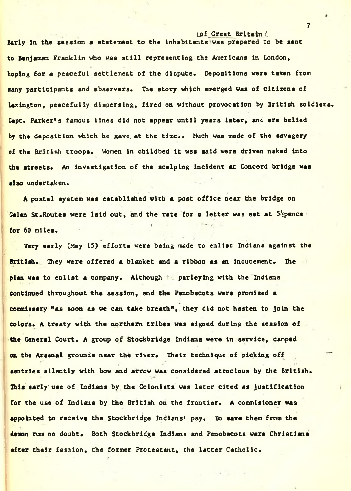of Great Britain / Early in the session a statememt to the inhabitants was prepared to be sent to Benjaman Franklin who was still representing the Americans in London, hoping for a peaceful settlement of the dispute. Depositions were taken from many participants and abservers. The story which emerged was of citizens of Lexington, peacefully dispersing, fired on without provocation by British soldiers. Capt. Parker's famous lines did not appear until years later, and are belied by the deposition which he gave at the time.. Much was made of the savagery of the British troops. Women in childbed it wss said were driven naked into the streets. An investigation of the scalping incident at Concord bridge was also undertaken.

A postal system was established with a post office near the bridge on Galen St. Routes were laid out, and the rate for a letter was set at  $5\frac{1}{2}$ pence  $\cdot$ for 60 miles.

Very early (May 15) efforts were being made to enlist Indians against the British. They were offered a blanket and a ribbon as an inducement. The plan was to enlist a company. Although parleying with the Indians continued throughout the session, and the Penobscots were promised a commissary "as soon as we can take breath", they did not hasten to join the colors. A treaty with the northern tribes was signed during the session of the General Court. A group of Stockbridge Indians were in service, camped on the Arsenal grounds near the river. Their technique of picking off sentries silently with bow and arrow was considered atrocious by the British. This early use of Indians by the Colonists was later cited as justification for the use of Indians by the British on the frontier. A commisioner was appointed to receive the Stockbridge Indians' pay. To save them from the demon rum no doubt. Both Stockbridge Indians and Penobscots were Christians after their fashion, the former Protestant, the latter Catholic.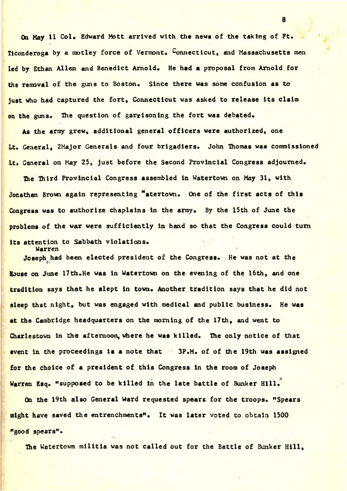On May 11 Col. Edward Mott arrived with the news of the taking of Ft. Ticonderoga by a motley force of Vermont. Connecticut, and Massachusetts men led by Ethan Allen and Benedict Arnold. He had a proposal from Arnold for the removal of the guns to Boston. Since there was some confusion as to just who had captured the fort, Connecticut was asked to release its claim on the guns. The question of garrisoning the fort was debated.

As the army grew, additional general officers were authorized, one Lt. General, 2Major Generals and four brigadiers. John Thomas was commissioned It. General on May 25, just before the Second Provincial Congress adjourned.

The Third Provincial Congress assembled in Watertown on May 31, with Jonathan Brown again representing "atertown. One of the first acts of this Congress was to authorize chaplains in the army. By the 15th of June the problems of the war were sufficiently in hand so that the Congress could turn its attention to Sabbath violations.

Warren

Joseph had been elected president of the Congress. He was not at the Bouse on June 17th.He was in Watertown on the evening of the 16th, and one tradition says that he slept in town. Another tradition says that he did not sleep that night, but was engaged with medical and public business. He was at the Cambridge headquarters on the morning of the 17th, and went to Charlestown in the afternoon, where he was killed. The only notice of that event in the proceedings is a note that  $3P_{\alpha}M_{\alpha}$  of of the 19th was assigned for the choice of a president of this Congress in the room of Joseph  $\mathbf{r}$ . note that the set of  $\mathbf{r}$  is a set of  $\mathbf{r}$ . Warren Esq. "supposed to be killed in the late battle of Bunker Hill.

On the 19th also General Ward requested spears for the troops. "Spears might have saved the entrenchments". It was later voted to obtain 1500 \*good spears"•

The Watertown militia was not called out for the Battle of Bunker Hill,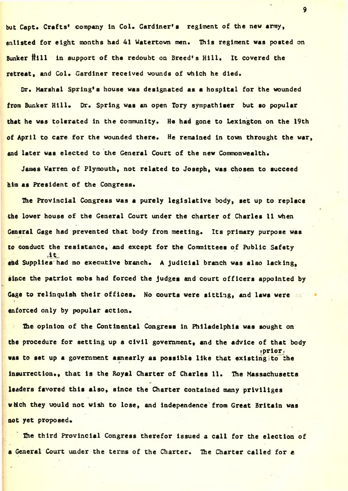but Capt. Crafts' company in Col. Gardiner's regiment of the new army, enlisted for eight months had 41 Watertown men. This regiment was posted on Bunker Hill in support of the redoubt on Breed's Hill. It covered the retreat, and Col. Gardiner received wounds of which he died.

Dr. Marshal Spring's house was designated as a hospital for the wounded from Bunker Hill. Dr. Spring was an open Tory sympathiser but so popular that he was tolerated in the community. He had gone to Lexington on the 19th of April to care for the wounded there. He remained in town throught the war, and later was elected to the General Court of the new Commonwealth.

James Warren of Plymouth, not related to Joseph, was chosen to succeed him as President of the Congress.

The Provincial Congress was a purely legislative body, set up to replace the lower house of the General Court under the charter of Charles 11 when General Gage had prevented that body from meeting. Its primary purpose was to conduct the resistance, and except for the Committees of Public Safety and Supplies had no executive branch. A judicial branch was also lacking, since the patriot mobs had forced the judges and court officers appointed by Gage to relinquish their offices. No courts were sitting, and laws were the enforced only by popular action.

The opinion of the Continental Congress in Philadelphia was sought on  $2<sup>2</sup>$ the procedure for setting up a civil government, and the advice of that body 'prior\* was to set up a government asnearly as possible like that existing to the insurrection., that is the Royal Charter of Charles 11. The Massachusetts leaders favored this also, since the Charter contained many prlvlliges which they would not wish to lose, and independence from Great Britain was not yet proposed.

The third Provincial Congress therefor issued a call for the election of a General Court under the terms of the Charter. The Charter called for a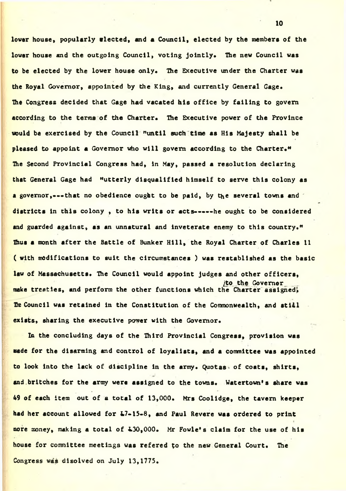lover house, popularly elected, and a Council, elected by the members of the lower house and the outgoing Council, voting jointly. The new Council was to be elected by the lower house only. The Executive under the Charter was the Royal Governor, appointed by the King, and currently General Gage. The Congress decided that Gage had vacated his office by failing to govern according to the terms of the Charter. The Executive power of the Province would be exercised by the Council "until such time as His Majesty shall be pleased to appoint a Governor who will govern according to the Charter." The Second Provincial Congress had, in May, passed a resolution declaring that General Gage had "utterly disqualified himself to serve this colony as a governor,---that no obedience ought to be paid, by the several towns and districts in this colony, to his writs or acts-----he ought to be considered and guarded against, as an unnatural and inveterate enemy to this country." Thus a month after the Battle of Bunker Hill, the Royal Charter of Charles ll ( with modifications to suit the circumstances ) was restabllshed as the basic law of Massachusetts. The Council would appoint judges and other officers, /to the Governor make treaties, and perform the other functions which the Charter assigned. He Council was retained in the Constitution of the Commonwealth, and still exists, sharing the executive power with the Governor.

In the concluding days of the Third Provincial Congress, provision was wade for the disarming and control of loyalists, and a committee was appointed to look into the lack of discipline in the army. Quotas of coats, shirts, and britches for the army were assigned to the towns. Watertown's share was  $49$  of each item out of a total of 13,000. Mrs Coolidge, the tavern keeper had her account allowed for &7-15-8, and Paul Revere was ordered to print more money, making a total of 4.30,000. Mr Fowle's claim for the use of his house for committee meetings was refered to the new General Court. The Congress was disolved on July 13,1775.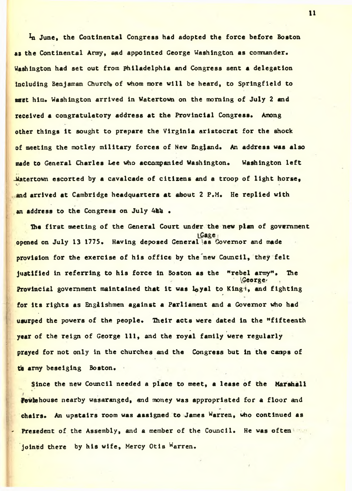In June, the Continental Congress had adopted the force before Boston as the Continental Army, and appointed George Washington as commander. Washington had set out from Philadelphia and Congress sent a delegation Including Benjaman Church of whom more will be heard, to Springfield to meet him. Washington arrived in Watertown on the morning of July 2 and received a congratulatory address at the Provincial Congress. Among other things it sought to prepare the Virginia aristocrat for the shock of meeting the motley military forces of New England. An address was also made to General Charles Lee who accompanied Washington. Washington left  $\frac{1}{2}$  -Watertown escorted by a cavalcade of citizens and a troop of light horse, and arrived at Cambridge headquarters at about  $2$  P.M. He replied with p'a l an address to the Congress on July 4hh .

The first meeting of the General Court under the new plan of government iGage opened on July 13 1775. Having deposed General as Governor and made provision for the exercise of his office by the new Council, they felt justified in referring to his force in Boston as the "rebel army". The ' IGeorge' Provincial government maintained that it was loyal to Kingt, and fighting for its rights as Englishmen against a Parliament and a Governor who had . usurped the powers of the people. Their acts were dated in the "fifteenth - *f* year of the reign of George 111, and the royal family were regularly prayed for not only in the churches and the Congress but in the canps of th army beseiging Boston.

 $\frac{1}{2}$ 

Since the new Council needed a place to meet, a lease of the Marshall I. r Povle house nearby wasaranged, and money was appropriated for a floor and chairs. An upstairs room was assigned to James Warren, who continued as Presedent of the Assembly, and a member of the Council. He was often joined there by his wife, Mercy Otis Warren.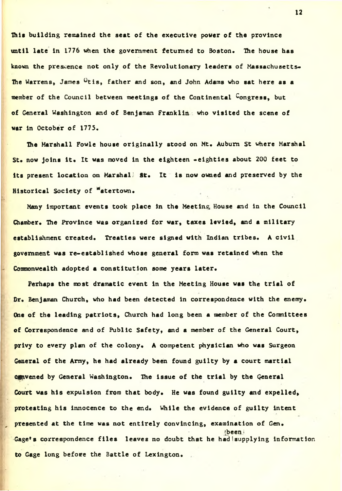this building remained the seat of the executive power of the province until late in 1776 when the government fetumed to Boston. The house has known the presence not only of the Revolutionary leaders of Massachusetts-The Warrens, James Otis, father and son, and John Adams who sat here as a member of the Council between meetings of the Continental Congress, but of General Washington and of Benjaman Franklin who visited the scene of war in October of 1775.

The Marshall Powle house originally stood on Mt. Auburn St where Marshal St. now joins it. It was moved in the eighteen -eighties about 200 feet to its present location on Marshal; St. It is now owned and preserved by the Historical Society of \*atertown.

Many important events took place in the Meeting House and in the Council Chamber. The Province was organized for war, taxes levied, and a military establishment created. Treaties were signed with Indian tribes. A civil government was re-established whose general form was retained when the Commonwealth adopted a constitution some years later.

Perhaps the most dramatic event In the Meeting House was the trial of Dr. Benjaman Church, who had been detected in correspondence with the enemy. One of the leading patriots, Church had long been a member of the Committees of Correspondence and of Public Safety, and a member of the General Court, privy to every plan of the colony. A competent physician who was Surgeon General of the Army, he had already been found guilty by a court martial c&ivened by General Washington. The issue of the trial by the General Court was his expulsion from that body. He was found guilty and expelled, protesting his innocence to the end. While the evidence of guilty intent presented at the time was not entirely convincing, examination of Gen. ibeen i Gage<sup>\*</sup>s correspondence files leaves no doubt that he had supplying information to Gage long before the Battle of Lexington.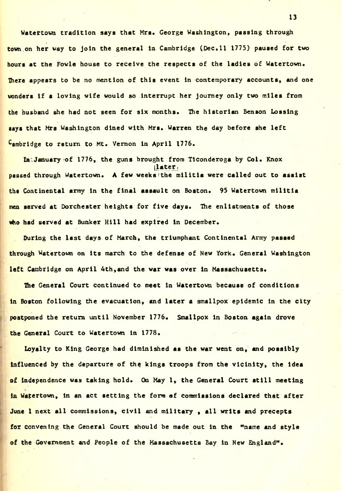Watertown tradition says that Mra. George Washington, passing through town on her way to join the general in Cambridge (Dec.11 1775) paused for two hours at the Fowle house to receive the respects of the ladies of Watertown. There appears to be no mention of this event in contemporary accounts, and one wonders if a loving wife would so interrupt her journey only two miles from the husband she had not seen for six months. The historian Benson Lossing says that Mrs Washington dined with Mrs. Warren the day before she left Cambridge to return to Mt. Vernon in April 1776.

In January of 1776, the guns brought from Tlconderoga by Col. Knox later. passed through Watertown. A few weeks the militia were called out to assist the Continental army in the final assault on Boston. 95 Watertown militia men served at Dorchester heights for five days. The enlistments of those who had served at Bunker Hill had expired in December.

During the last days of March, the triumphant Continental Army passed through Watertown on its march to the defense of New York. General Washington left Cambridge on April 4th, and the war was over in Massachusetts.

The General Court continued to meet in Watertown because of conditions in Boston following the evacuation, and later a smallpox epidemic in the city postponed the return until November 1776. Smallpox in Boston again drove the General Court to Watertown in 1778.

Loyalty to King George had diminished as the war went on, and possibly influenced by the departure of the kings troops from the vicinity, the idea of independence was taking hold. On May 1, the General Court still meeting in Watertown, in an act setting the form of commissions declared that after June 1 next all commissions, civil and military , all writs and precepts for convening the General Court should be made out In the "name and style of the Government and People of the Massachusetts Bay in New England".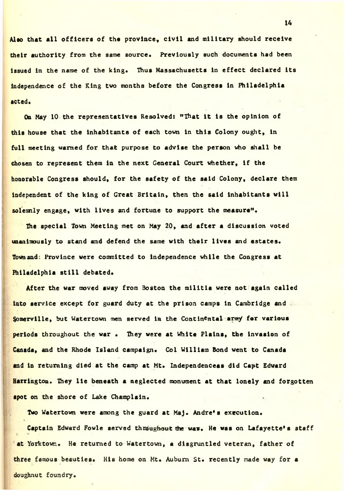Alao that all officers of the province, civil and military should receive their authority from the same source. Previously such documents had been issued in the name of the king. Thus Massachusetts in effect declared its independence of the King two months before the Congress in Philadelphia acted.

On May 10 the representatives Resolved: "That it is the opinion of this house that the inhabitants of each town in this Colony ought, in full meeting warned for that purpose to advise the person who shall be chosen to represent them in the next General Court whether, if the honorable Congress should, for the safety of the said Colony, declare them Independent of the king of Great Britain, then the said inhabitants will solemnly engage, with lives and fortune to support the measure".

The special Town Meeting met on May 20, and after a discussion voted unanimously to stand and defend the same with their lives and estates. Town and; Province were committed to independence while the Congress at Philadelphia still debated.

After the war moved away from Boston the militia were not again called into service except for guard duty at the prison camps in Cambridge and . Somerville, but Watertown men served in the Continental arm/ for various periods throughout the war • They were at White Plains, the invasion of Canada, and the Rhode Island campaign. Col William Bond went to Canada and in returning died at the camp at Mt. Independenceas did Capt Edward Harrington. They lie beneath a neglected monument at that lonely and forgotten spot on the shore of Lake Champlain.

Two Watertown were among the guard at Maj. Andre's execution.

Captain Edward Fovle served throughout the was. He was on Lafayette's staff at Yorktown. He returned to Watertown, a disgruntled veteran, father of three famous beauties. His home on Mt. Auburn St. recently made way for a doughnut foundry.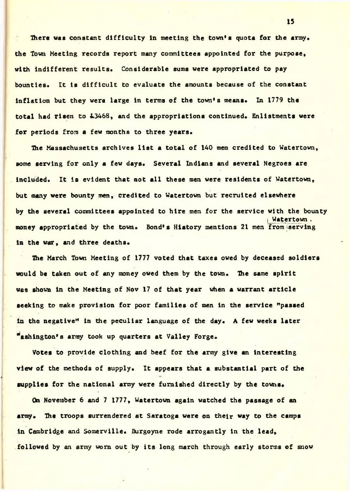There was constant difficulty in meeting the town's quota for the army. the Town Meeting records report many committees appointed for the purpose, with indifferent results. Considerable sums were appropriated to pay bounties. It is difficult to evaluate the amounts because of the constant inflation but they were large in terms of the town's means. In 1779 the total had risen to i.3468, and the appropriations continued. Enlistments were for periods from a few months to three years.

The Massachusetts archives list a total of 140 men credited to Watertown, some serving for only a few days. Several Indians and several Negroes are included. It is evident that not all these men were residents of Watertown, but many were bounty men, credited to Watertown but recruited elsewhere by the several committees appointed to hire men for the service with the bounty i Watertown , money appropriated by the town. Bond's History mentions 21 men from serving in the war, and three deaths.

The March Town Meeting of 1777 voted that taxes owed by deceased soldiers would be taken out of any money owed them by the town. The same spirit was shown in the Meeting of Nov 17 of that year when a warrant article seeking to make provision for poor families of men in the service "passed in the negative" in the peculiar language of the day. A few weeks later Washington's array took up quarters at Valley Forge.

Votes to provide clothing and beef for the army give an interesting view of the methods of supply. It appears that a substantial part of the supplies for the national army were furnished directly by the towns.

On November 6 and 7 1777, Watertown again watched the passage of an army. The troops surrendered at Saratoga were on their way to the camps in Cambridge and Somerville. Burgoyne rode arrogantly in the lead, followed by an army worn out by its long march through early storms of snow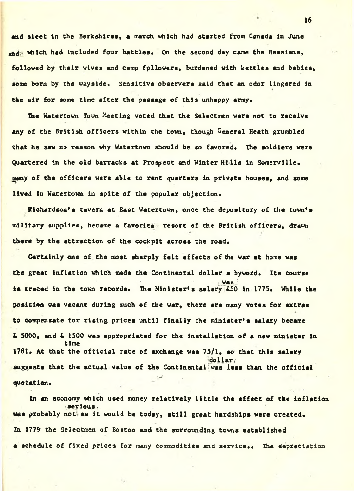and sleet in the Berkshires, a march which had started from Canada in June god: which had included four battles. On the second day came the Hessians, followed by their wives and camp fpllovers, burdened with kettles and babies, some born by the wayside. Sensitive observers said that an odor lingered in the air for some time after the passage of this unhappy army.

Ihe Watertown Town Meeting voted that the Selectmen were not to receive any of the British officers within the town, though General Heath grumbled that he saw no reason why Watertown should be so favored. The soldiers were Quartered in the old barracks at Prospect and Winter Hills in Somerville. many of the officers were able to rent quarters in private houses, and some lived in Watertown in spite of the popular objection.

Kichardson's tavern at East Watertown, once the depository of the town\*a military supplies, became a favorite . resort of the British officers, drawn there by the attraction of the cockpit across the road.

Certainly one of the moat sharply felt effects of the war at home was the great inflation which made the Continental dollar a byword. Its course / was j is traced in the town records. The Minister's salary 450 in 1775. While the position was vacant during much of the war, there are many votes for extras to compensate for rising prices until finally the minister's salary became  $2, 5000$ , and  $2, 1500$  was appropriated for the installation of a new minister in time 1781. At that the official rate of exchange was 75/1, so that this salary  $d$ ollar $/$ suggests that the actual value of the Continentaljwas less than the official - v % . .\* • quotation.

In an economy which used money relatively little the effect of the inflation ^.serious . was probably not as it would be today, still graat hardships were created. In 1779 the Selectmen of Boston and the surrounding towns established a schedule of fixed prices for many commodities and service.. The depreciation